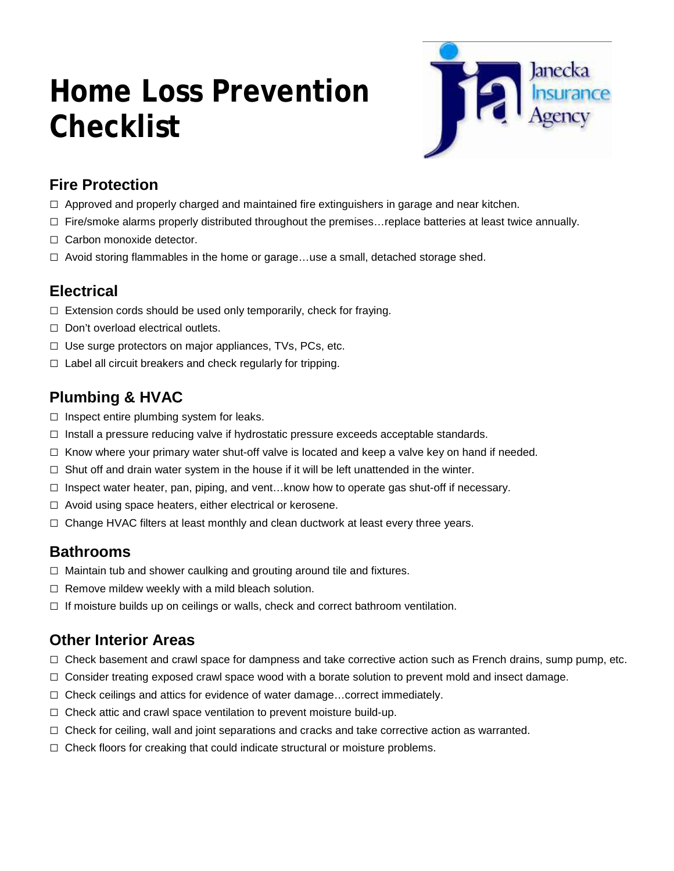# **Home Loss Prevention Checklist**



# **Fire Protection**

- $\Box$  Approved and properly charged and maintained fire extinguishers in garage and near kitchen.
- $\square$  Fire/smoke alarms properly distributed throughout the premises... replace batteries at least twice annually.
- □ Carbon monoxide detector.
- $\square$  Avoid storing flammables in the home or garage...use a small, detached storage shed.

# **Electrical**

- $\Box$  Extension cords should be used only temporarily, check for fraying.
- □ Don't overload electrical outlets.
- □ Use surge protectors on major appliances, TVs, PCs, etc.
- $\Box$  Label all circuit breakers and check regularly for tripping.

# **Plumbing & HVAC**

- $\Box$  Inspect entire plumbing system for leaks.
- $\Box$  Install a pressure reducing valve if hydrostatic pressure exceeds acceptable standards.
- $\Box$  Know where your primary water shut-off valve is located and keep a valve key on hand if needed.
- $\square$  Shut off and drain water system in the house if it will be left unattended in the winter.
- $\square$  Inspect water heater, pan, piping, and vent... know how to operate gas shut-off if necessary.
- $\Box$  Avoid using space heaters, either electrical or kerosene.
- $\Box$  Change HVAC filters at least monthly and clean ductwork at least every three years.

## **Bathrooms**

- $\Box$  Maintain tub and shower caulking and grouting around tile and fixtures.
- $\Box$  Remove mildew weekly with a mild bleach solution.
- $\Box$  If moisture builds up on ceilings or walls, check and correct bathroom ventilation.

# **Other Interior Areas**

- $\Box$  Check basement and crawl space for dampness and take corrective action such as French drains, sump pump, etc.
- $\Box$  Consider treating exposed crawl space wood with a borate solution to prevent mold and insect damage.
- □ Check ceilings and attics for evidence of water damage...correct immediately.
- $\Box$  Check attic and crawl space ventilation to prevent moisture build-up.
- $\Box$  Check for ceiling, wall and joint separations and cracks and take corrective action as warranted.
- $\Box$  Check floors for creaking that could indicate structural or moisture problems.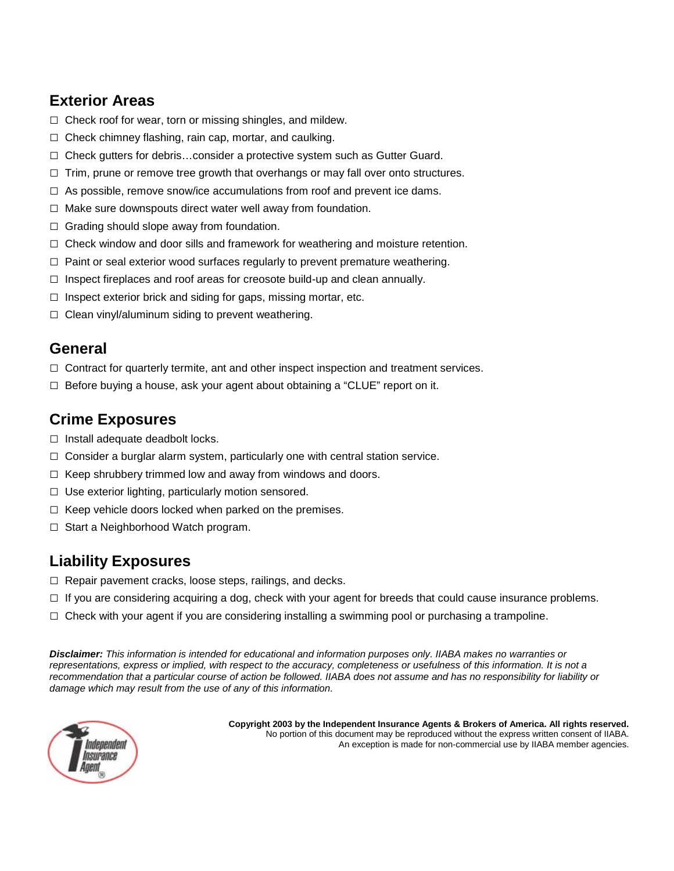# **Exterior Areas**

- □ Check roof for wear, torn or missing shingles, and mildew.
- □ Check chimney flashing, rain cap, mortar, and caulking.
- □ Check gutters for debris...consider a protective system such as Gutter Guard.
- $\square$  Trim, prune or remove tree growth that overhangs or may fall over onto structures.
- $\Box$  As possible, remove snow/ice accumulations from roof and prevent ice dams.
- $\Box$  Make sure downspouts direct water well away from foundation.
- $\Box$  Grading should slope away from foundation.
- $\Box$  Check window and door sills and framework for weathering and moisture retention.
- $\Box$  Paint or seal exterior wood surfaces regularly to prevent premature weathering.
- $\Box$  Inspect fireplaces and roof areas for creosote build-up and clean annually.
- $\Box$  Inspect exterior brick and siding for gaps, missing mortar, etc.
- $\Box$  Clean vinyl/aluminum siding to prevent weathering.

## **General**

- $\Box$  Contract for quarterly termite, ant and other inspect inspection and treatment services.
- $\square$  Before buying a house, ask your agent about obtaining a "CLUE" report on it.

## **Crime Exposures**

- $\Box$  Install adequate deadbolt locks.
- $\Box$  Consider a burglar alarm system, particularly one with central station service.
- $\Box$  Keep shrubbery trimmed low and away from windows and doors.
- $\Box$  Use exterior lighting, particularly motion sensored.
- $\Box$  Keep vehicle doors locked when parked on the premises.
- □ Start a Neighborhood Watch program.

# **Liability Exposures**

- □ Repair pavement cracks, loose steps, railings, and decks.
- $\Box$  If you are considering acquiring a dog, check with your agent for breeds that could cause insurance problems.
- $\Box$  Check with your agent if you are considering installing a swimming pool or purchasing a trampoline.

*Disclaimer: This information is intended for educational and information purposes only. IIABA makes no warranties or representations, express or implied, with respect to the accuracy, completeness or usefulness of this information. It is not a recommendation that a particular course of action be followed. IIABA does not assume and has no responsibility for liability or damage which may result from the use of any of this information.*



 **Copyright 2003 by the Independent Insurance Agents & Brokers of America. All rights reserved.** No portion of this document may be reproduced without the express written consent of IIABA. An exception is made for non-commercial use by IIABA member agencies.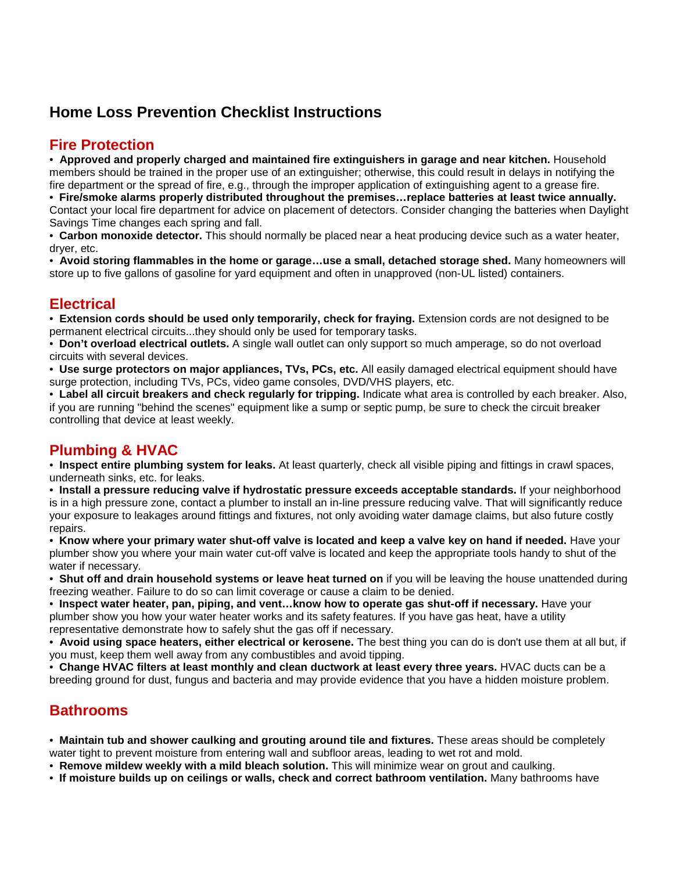## **Home Loss Prevention Checklist Instructions**

#### **Fire Protection**

• **Approved and properly charged and maintained fire extinguishers in garage and near kitchen.** Household members should be trained in the proper use of an extinguisher; otherwise, this could result in delays in notifying the fire department or the spread of fire, e.g., through the improper application of extinguishing agent to a grease fire. • **Fire/smoke alarms properly distributed throughout the premises…replace batteries at least twice annually.**

Contact your local fire department for advice on placement of detectors. Consider changing the batteries when Daylight Savings Time changes each spring and fall.

• **Carbon monoxide detector.** This should normally be placed near a heat producing device such as a water heater, dryer, etc.

• **Avoid storing flammables in the home or garage…use a small, detached storage shed.** Many homeowners will store up to five gallons of gasoline for yard equipment and often in unapproved (non-UL listed) containers.

## **Electrical**

• **Extension cords should be used only temporarily, check for fraying.** Extension cords are not designed to be permanent electrical circuits...they should only be used for temporary tasks.

• **Don't overload electrical outlets.** A single wall outlet can only support so much amperage, so do not overload circuits with several devices.

• **Use surge protectors on major appliances, TVs, PCs, etc.** All easily damaged electrical equipment should have surge protection, including TVs, PCs, video game consoles, DVD/VHS players, etc.

• **Label all circuit breakers and check regularly for tripping.** Indicate what area is controlled by each breaker. Also, if you are running "behind the scenes" equipment like a sump or septic pump, be sure to check the circuit breaker controlling that device at least weekly.

#### **Plumbing & HVAC**

• **Inspect entire plumbing system for leaks.** At least quarterly, check all visible piping and fittings in crawl spaces, underneath sinks, etc. for leaks.

• **Install a pressure reducing valve if hydrostatic pressure exceeds acceptable standards.** If your neighborhood is in a high pressure zone, contact a plumber to install an in-line pressure reducing valve. That will significantly reduce your exposure to leakages around fittings and fixtures, not only avoiding water damage claims, but also future costly repairs.

• **Know where your primary water shut-off valve is located and keep a valve key on hand if needed.** Have your plumber show you where your main water cut-off valve is located and keep the appropriate tools handy to shut of the water if necessary.

• **Shut off and drain household systems or leave heat turned on** if you will be leaving the house unattended during freezing weather. Failure to do so can limit coverage or cause a claim to be denied.

• **Inspect water heater, pan, piping, and vent…know how to operate gas shut-off if necessary.** Have your plumber show you how your water heater works and its safety features. If you have gas heat, have a utility representative demonstrate how to safely shut the gas off if necessary.

• **Avoid using space heaters, either electrical or kerosene.** The best thing you can do is don't use them at all but, if you must, keep them well away from any combustibles and avoid tipping.

• **Change HVAC filters at least monthly and clean ductwork at least every three years.** HVAC ducts can be a breeding ground for dust, fungus and bacteria and may provide evidence that you have a hidden moisture problem.

#### **Bathrooms**

• **Maintain tub and shower caulking and grouting around tile and fixtures.** These areas should be completely water tight to prevent moisture from entering wall and subfloor areas, leading to wet rot and mold.

• **Remove mildew weekly with a mild bleach solution.** This will minimize wear on grout and caulking.

• **If moisture builds up on ceilings or walls, check and correct bathroom ventilation.** Many bathrooms have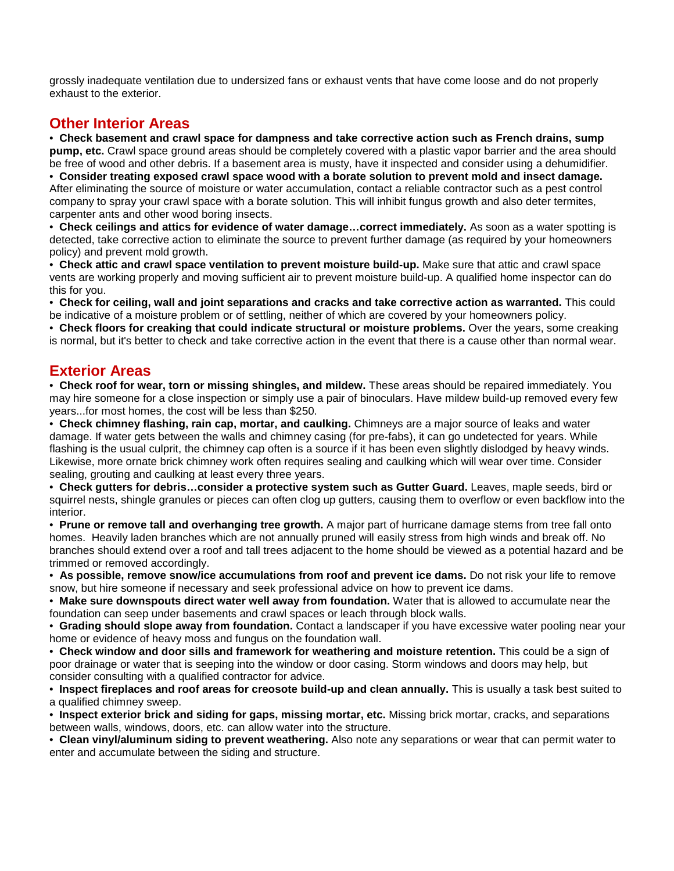grossly inadequate ventilation due to undersized fans or exhaust vents that have come loose and do not properly exhaust to the exterior.

#### **Other Interior Areas**

• **Check basement and crawl space for dampness and take corrective action such as French drains, sump pump, etc.** Crawl space ground areas should be completely covered with a plastic vapor barrier and the area should be free of wood and other debris. If a basement area is musty, have it inspected and consider using a dehumidifier.

• **Consider treating exposed crawl space wood with a borate solution to prevent mold and insect damage.** After eliminating the source of moisture or water accumulation, contact a reliable contractor such as a pest control company to spray your crawl space with a borate solution. This will inhibit fungus growth and also deter termites, carpenter ants and other wood boring insects.

• **Check ceilings and attics for evidence of water damage…correct immediately.** As soon as a water spotting is detected, take corrective action to eliminate the source to prevent further damage (as required by your homeowners policy) and prevent mold growth.

• **Check attic and crawl space ventilation to prevent moisture build-up.** Make sure that attic and crawl space vents are working properly and moving sufficient air to prevent moisture build-up. A qualified home inspector can do this for you.

• **Check for ceiling, wall and joint separations and cracks and take corrective action as warranted.** This could be indicative of a moisture problem or of settling, neither of which are covered by your homeowners policy.

• **Check floors for creaking that could indicate structural or moisture problems.** Over the years, some creaking is normal, but it's better to check and take corrective action in the event that there is a cause other than normal wear.

#### **Exterior Areas**

• **Check roof for wear, torn or missing shingles, and mildew.** These areas should be repaired immediately. You may hire someone for a close inspection or simply use a pair of binoculars. Have mildew build-up removed every few years...for most homes, the cost will be less than \$250.

• **Check chimney flashing, rain cap, mortar, and caulking.** Chimneys are a major source of leaks and water damage. If water gets between the walls and chimney casing (for pre-fabs), it can go undetected for years. While flashing is the usual culprit, the chimney cap often is a source if it has been even slightly dislodged by heavy winds. Likewise, more ornate brick chimney work often requires sealing and caulking which will wear over time. Consider sealing, grouting and caulking at least every three years.

• **Check gutters for debris…consider a protective system such as Gutter Guard.** Leaves, maple seeds, bird or squirrel nests, shingle granules or pieces can often clog up gutters, causing them to overflow or even backflow into the interior.

• **Prune or remove tall and overhanging tree growth.** A major part of hurricane damage stems from tree fall onto homes. Heavily laden branches which are not annually pruned will easily stress from high winds and break off. No branches should extend over a roof and tall trees adjacent to the home should be viewed as a potential hazard and be trimmed or removed accordingly.

• **As possible, remove snow/ice accumulations from roof and prevent ice dams.** Do not risk your life to remove snow, but hire someone if necessary and seek professional advice on how to prevent ice dams.

• **Make sure downspouts direct water well away from foundation.** Water that is allowed to accumulate near the foundation can seep under basements and crawl spaces or leach through block walls.

• **Grading should slope away from foundation.** Contact a landscaper if you have excessive water pooling near your home or evidence of heavy moss and fungus on the foundation wall.

• **Check window and door sills and framework for weathering and moisture retention.** This could be a sign of poor drainage or water that is seeping into the window or door casing. Storm windows and doors may help, but consider consulting with a qualified contractor for advice.

• **Inspect fireplaces and roof areas for creosote build-up and clean annually.** This is usually a task best suited to a qualified chimney sweep.

• **Inspect exterior brick and siding for gaps, missing mortar, etc.** Missing brick mortar, cracks, and separations between walls, windows, doors, etc. can allow water into the structure.

• **Clean vinyl/aluminum siding to prevent weathering.** Also note any separations or wear that can permit water to enter and accumulate between the siding and structure.